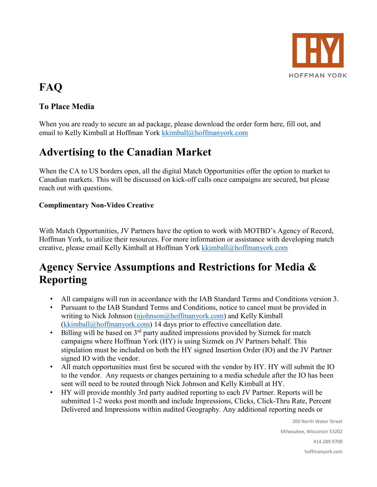

# **FAQ**

#### **To Place Media**

When you are ready to secure an ad package, please download the order form here, fill out, and email to Kelly Kimball at Hoffman York [kkimball@hoffmanyork.com](mailto:kkimball@hoffmanyork.com) 

# **Advertising to the Canadian Market**

When the CA to US borders open, all the digital Match Opportunities offer the option to market to Canadian markets. This will be discussed on kick-off calls once campaigns are secured, but please reach out with questions.

#### **Complimentary Non-Video Creative**

With Match Opportunities, JV Partners have the option to work with MOTBD's Agency of Record, Hoffman York, to utilize their resources. For more information or assistance with developing match creative, please email Kelly Kimball at Hoffman York [kkimball@hoffmanyork.com](mailto:kkimball@hoffmanyork.com) 

### **Agency Service Assumptions and Restrictions for Media & Reporting**

- All campaigns will run in accordance with the IAB Standard Terms and Conditions version 3.
- Pursuant to the IAB Standard Terms and Conditions, notice to cancel must be provided in writing to Nick Johnson [\(njohnson@hoffmanyork.com\)](mailto:njohnson@hoffmanyork.com) and Kelly Kimball [\(kkimball@hoffmanyork.com\)](mailto:kkimball@hoffmanyork.com) 14 days prior to effective cancellation date.
- Billing will be based on  $3<sup>rd</sup>$  party audited impressions provided by Sizmek for match campaigns where Hoffman York (HY) is using Sizmek on JV Partners behalf. This stipulation must be included on both the HY signed Insertion Order (IO) and the JV Partner signed IO with the vendor.
- All match opportunities must first be secured with the vendor by HY. HY will submit the IO to the vendor. Any requests or changes pertaining to a media schedule after the IO has been sent will need to be routed through Nick Johnson and Kelly Kimball at HY.
- HY will provide monthly 3rd party audited reporting to each JV Partner. Reports will be submitted 1-2 weeks post month and include Impressions, Clicks, Click-Thru Rate, Percent Delivered and Impressions within audited Geography. Any additional reporting needs or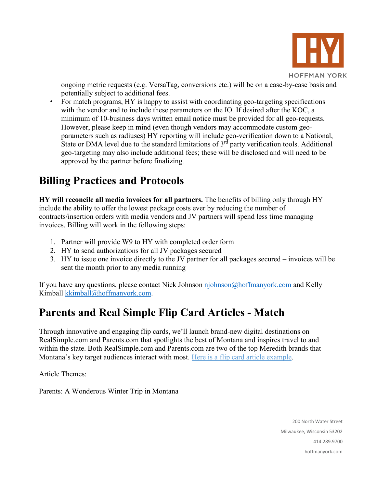

ongoing metric requests (e.g. VersaTag, conversions etc.) will be on a case-by-case basis and potentially subject to additional fees.

• For match programs, HY is happy to assist with coordinating geo-targeting specifications with the vendor and to include these parameters on the IO. If desired after the KOC, a minimum of 10-business days written email notice must be provided for all geo-requests. However, please keep in mind (even though vendors may accommodate custom geoparameters such as radiuses) HY reporting will include geo-verification down to a National, State or DMA level due to the standard limitations of  $3<sup>rd</sup>$  party verification tools. Additional geo-targeting may also include additional fees; these will be disclosed and will need to be approved by the partner before finalizing.

## **Billing Practices and Protocols**

**HY will reconcile all media invoices for all partners.** The benefits of billing only through HY include the ability to offer the lowest package costs ever by reducing the number of contracts/insertion orders with media vendors and JV partners will spend less time managing invoices. Billing will work in the following steps:

- 1. Partner will provide W9 to HY with completed order form
- 2. HY to send authorizations for all JV packages secured
- 3. HY to issue one invoice directly to the JV partner for all packages secured invoices will be sent the month prior to any media running

If you have any questions, please contact Nick Johnson  $\overline{n}$  johnson  $\overline{a}$  hoffmanyork.com and Kelly Kimball [kkimball@hoffmanyork.com.](mailto:kkimball@hoffmanyork.com)

## **Parents and Real Simple Flip Card Articles - Match**

Through innovative and engaging flip cards, we'll launch brand-new digital destinations on RealSimple.com and Parents.com that spotlights the best of Montana and inspires travel to and within the state. Both RealSimple.com and Parents.com are two of the top Meredith brands that Montana's key target audiences interact with most. [Here is a flip card article example.](https://www.travelandleisure.com/featured/ExpertTipsHitTheSlopesVail2019?sm_r=PkMnRP)

Article Themes:

Parents: A Wonderous Winter Trip in Montana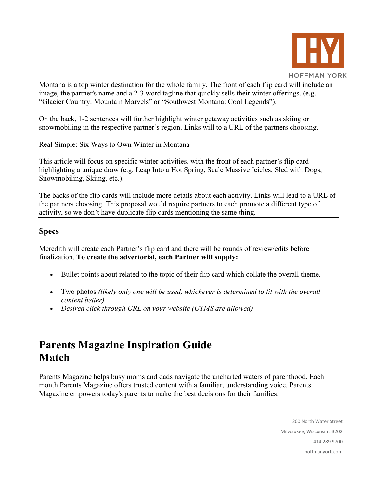

Montana is a top winter destination for the whole family. The front of each flip card will include an image, the partner's name and a 2-3 word tagline that quickly sells their winter offerings. (e.g. "Glacier Country: Mountain Marvels" or "Southwest Montana: Cool Legends").

On the back, 1-2 sentences will further highlight winter getaway activities such as skiing or snowmobiling in the respective partner's region. Links will to a URL of the partners choosing.

Real Simple: Six Ways to Own Winter in Montana

This article will focus on specific winter activities, with the front of each partner's flip card highlighting a unique draw (e.g. Leap Into a Hot Spring, Scale Massive Icicles, Sled with Dogs, Snowmobiling, Skiing, etc.).

The backs of the flip cards will include more details about each activity. Links will lead to a URL of the partners choosing. This proposal would require partners to each promote a different type of activity, so we don't have duplicate flip cards mentioning the same thing.

#### **Specs**

Meredith will create each Partner's flip card and there will be rounds of review/edits before finalization. **To create the advertorial, each Partner will supply:**

- Bullet points about related to the topic of their flip card which collate the overall theme.
- Two photos *(likely only one will be used, whichever is determined to fit with the overall content better)*
- *Desired click through URL on your website (UTMS are allowed)*

### **Parents Magazine Inspiration Guide Match**

Parents Magazine helps busy moms and dads navigate the uncharted waters of parenthood. Each month Parents Magazine offers trusted content with a familiar, understanding voice. Parents Magazine empowers today's parents to make the best decisions for their families.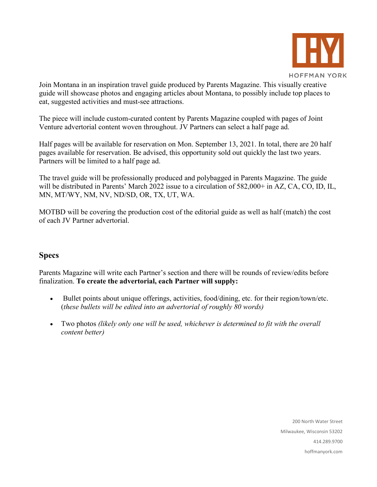

Join Montana in an inspiration travel guide produced by Parents Magazine. This visually creative guide will showcase photos and engaging articles about Montana, to possibly include top places to eat, suggested activities and must-see attractions.

The piece will include custom-curated content by Parents Magazine coupled with pages of Joint Venture advertorial content woven throughout. JV Partners can select a half page ad.

Half pages will be available for reservation on Mon. September 13, 2021. In total, there are 20 half pages available for reservation. Be advised, this opportunity sold out quickly the last two years. Partners will be limited to a half page ad.

The travel guide will be professionally produced and polybagged in Parents Magazine. The guide will be distributed in Parents' March 2022 issue to a circulation of 582,000+ in AZ, CA, CO, ID, IL, MN, MT/WY, NM, NV, ND/SD, OR, TX, UT, WA.

MOTBD will be covering the production cost of the editorial guide as well as half (match) the cost of each JV Partner advertorial.

#### **Specs**

Parents Magazine will write each Partner's section and there will be rounds of review/edits before finalization. **To create the advertorial, each Partner will supply:**

- Bullet points about unique offerings, activities, food/dining, etc. for their region/town/etc. (*these bullets will be edited into an advertorial of roughly 80 words)*
- Two photos *(likely only one will be used, whichever is determined to fit with the overall content better)*